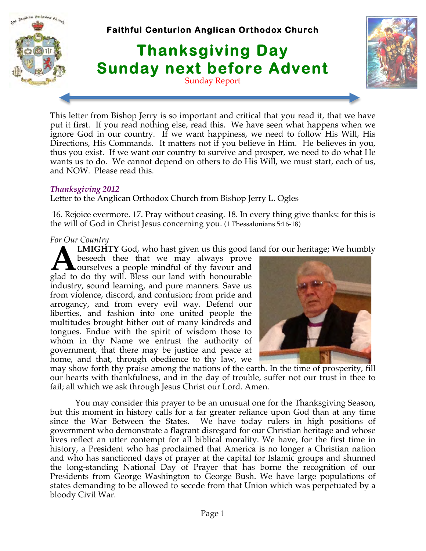

This letter from Bishop Jerry is so important and critical that you read it, that we have put it first. If you read nothing else, read this. We have seen what happens when we ignore God in our country. If we want happiness, we need to follow His Will, His Directions, His Commands. It matters not if you believe in Him. He believes in you, thus you exist. If we want our country to survive and prosper, we need to do what He wants us to do. We cannot depend on others to do His Will, we must start, each of us, and NOW. Please read this.

#### *Thanksgiving 2012*

Letter to the Anglican Orthodox Church from Bishop Jerry L. Ogles

 16. Rejoice evermore. 17. Pray without ceasing. 18. In every thing give thanks: for this is the will of God in Christ Jesus concerning you. (1 Thessalonians 5:16-18)

#### *For Our Country*

**LMIGHTY** God, who hast given us this good land for our heritage; We humbly

beseech thee that we may always prove **L**ourselves a people mindful of thy favour and **A** LMIGHTY God, who hast given us this good labele beseech thee that we may always prove ourselves a people mindful of thy favour and glad to do thy will. Bless our land with honourable industry, sound learning, and pure manners. Save us from violence, discord, and confusion; from pride and arrogancy, and from every evil way. Defend our liberties, and fashion into one united people the multitudes brought hither out of many kindreds and tongues. Endue with the spirit of wisdom those to whom in thy Name we entrust the authority of government, that there may be justice and peace at home, and that, through obedience to thy law, we



may show forth thy praise among the nations of the earth. In the time of prosperity, fill our hearts with thankfulness, and in the day of trouble, suffer not our trust in thee to fail; all which we ask through Jesus Christ our Lord. Amen.

 You may consider this prayer to be an unusual one for the Thanksgiving Season, but this moment in history calls for a far greater reliance upon God than at any time since the War Between the States. We have today rulers in high positions of government who demonstrate a flagrant disregard for our Christian heritage and whose lives reflect an utter contempt for all biblical morality. We have, for the first time in history, a President who has proclaimed that America is no longer a Christian nation and who has sanctioned days of prayer at the capital for Islamic groups and shunned the long-standing National Day of Prayer that has borne the recognition of our Presidents from George Washington to George Bush. We have large populations of states demanding to be allowed to secede from that Union which was perpetuated by a bloody Civil War.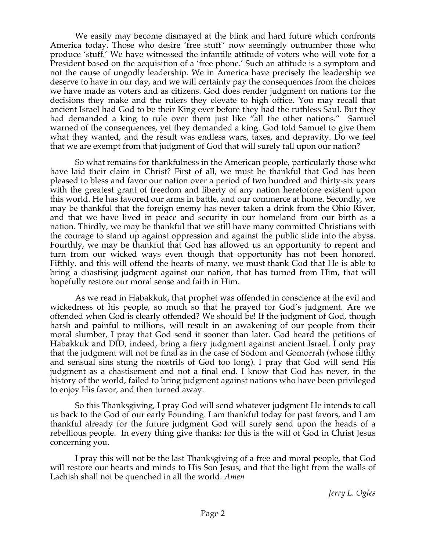We easily may become dismayed at the blink and hard future which confronts America today. Those who desire 'free stuff'' now seemingly outnumber those who produce 'stuff.' We have witnessed the infantile attitude of voters who will vote for a President based on the acquisition of a 'free phone.' Such an attitude is a symptom and not the cause of ungodly leadership. We in America have precisely the leadership we deserve to have in our day, and we will certainly pay the consequences from the choices we have made as voters and as citizens. God does render judgment on nations for the decisions they make and the rulers they elevate to high office. You may recall that ancient Israel had God to be their King ever before they had the ruthless Saul. But they had demanded a king to rule over them just like "all the other nations." Samuel warned of the consequences, yet they demanded a king. God told Samuel to give them what they wanted, and the result was endless wars, taxes, and depravity. Do we feel that we are exempt from that judgment of God that will surely fall upon our nation?

 So what remains for thankfulness in the American people, particularly those who have laid their claim in Christ? First of all, we must be thankful that God has been pleased to bless and favor our nation over a period of two hundred and thirty-six years with the greatest grant of freedom and liberty of any nation heretofore existent upon this world. He has favored our arms in battle, and our commerce at home. Secondly, we may be thankful that the foreign enemy has never taken a drink from the Ohio River, and that we have lived in peace and security in our homeland from our birth as a nation. Thirdly, we may be thankful that we still have many committed Christians with the courage to stand up against oppression and against the public slide into the abyss. Fourthly, we may be thankful that God has allowed us an opportunity to repent and turn from our wicked ways even though that opportunity has not been honored. Fifthly, and this will offend the hearts of many, we must thank God that He is able to bring a chastising judgment against our nation, that has turned from Him, that will hopefully restore our moral sense and faith in Him.

 As we read in Habakkuk, that prophet was offended in conscience at the evil and wickedness of his people, so much so that he prayed for God's judgment. Are we offended when God is clearly offended? We should be! If the judgment of God, though harsh and painful to millions, will result in an awakening of our people from their moral slumber, I pray that God send it sooner than later. God heard the petitions of Habakkuk and DID, indeed, bring a fiery judgment against ancient Israel. I only pray that the judgment will not be final as in the case of Sodom and Gomorrah (whose filthy and sensual sins stung the nostrils of God too long). I pray that God will send His judgment as a chastisement and not a final end. I know that God has never, in the history of the world, failed to bring judgment against nations who have been privileged to enjoy His favor, and then turned away.

 So this Thanksgiving, I pray God will send whatever judgment He intends to call us back to the God of our early Founding. I am thankful today for past favors, and I am thankful already for the future judgment God will surely send upon the heads of a rebellious people. In every thing give thanks: for this is the will of God in Christ Jesus concerning you.

 I pray this will not be the last Thanksgiving of a free and moral people, that God will restore our hearts and minds to His Son Jesus, and that the light from the walls of Lachish shall not be quenched in all the world. *Amen*

*Jerry L. Ogles*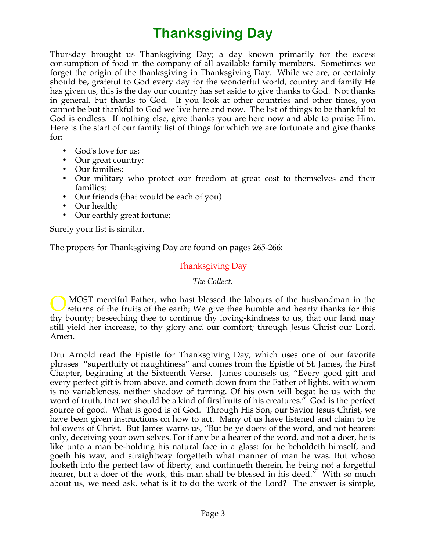# **Thanksgiving Day**

Thursday brought us Thanksgiving Day; a day known primarily for the excess consumption of food in the company of all available family members. Sometimes we forget the origin of the thanksgiving in Thanksgiving Day. While we are, or certainly should be, grateful to God every day for the wonderful world, country and family He has given us, this is the day our country has set aside to give thanks to God. Not thanks in general, but thanks to God. If you look at other countries and other times, you cannot be but thankful to God we live here and now. The list of things to be thankful to God is endless. If nothing else, give thanks you are here now and able to praise Him. Here is the start of our family list of things for which we are fortunate and give thanks for:

- God's love for us;
- Our great country;
- Our families;
- Our military who protect our freedom at great cost to themselves and their families;
- Our friends (that would be each of you)
- Our health;
- Our earthly great fortune;

Surely your list is similar.

The propers for Thanksgiving Day are found on pages 265-266:

# Thanksgiving Day

#### *The Collect.*

 MOST merciful Father, who hast blessed the labours of the husbandman in the returns of the fruits of the earth; We give thee humble and hearty thanks for this thy bounty; beseeching thee to continue thy loving-kindness to us, that our land may still yield her increase, to thy glory and our comfort; through Jesus Christ our Lord. Amen. O

Dru Arnold read the Epistle for Thanksgiving Day, which uses one of our favorite phrases "superfluity of naughtiness" and comes from the Epistle of St. James, the First Chapter, beginning at the Sixteenth Verse. James counsels us, "Every good gift and every perfect gift is from above, and cometh down from the Father of lights, with whom is no variableness, neither shadow of turning. Of his own will begat he us with the word of truth, that we should be a kind of firstfruits of his creatures." God is the perfect source of good. What is good is of God. Through His Son, our Savior Jesus Christ, we have been given instructions on how to act. Many of us have listened and claim to be followers of Christ. But James warns us, "But be ye doers of the word, and not hearers only, deceiving your own selves. For if any be a hearer of the word, and not a doer, he is like unto a man be-holding his natural face in a glass: for he beholdeth himself, and goeth his way, and straightway forgetteth what manner of man he was. But whoso looketh into the perfect law of liberty, and continueth therein, he being not a forgetful hearer, but a doer of the work, this man shall be blessed in his deed." With so much about us, we need ask, what is it to do the work of the Lord? The answer is simple,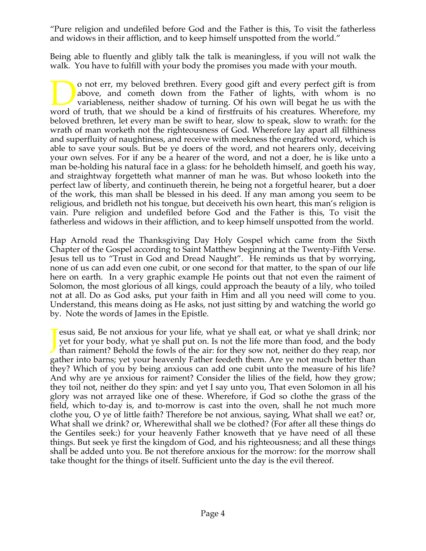"Pure religion and undefiled before God and the Father is this, To visit the fatherless and widows in their affliction, and to keep himself unspotted from the world."

Being able to fluently and glibly talk the talk is meaningless, if you will not walk the walk. You have to fulfill with your body the promises you made with your mouth.

o not err, my beloved brethren. Every good gift and every perfect gift is from above, and cometh down from the Father of lights, with whom is no variableness, neither shadow of turning. Of his own will begat he us with the o not err, my beloved brethren. Every good gift and every perfect gift is from above, and cometh down from the Father of lights, with whom is no variableness, neither shadow of turning. Of his own will begat he us with the beloved brethren, let every man be swift to hear, slow to speak, slow to wrath: for the wrath of man worketh not the righteousness of God. Wherefore lay apart all filthiness and superfluity of naughtiness, and receive with meekness the engrafted word, which is able to save your souls. But be ye doers of the word, and not hearers only, deceiving your own selves. For if any be a hearer of the word, and not a doer, he is like unto a man be-holding his natural face in a glass: for he beholdeth himself, and goeth his way, and straightway forgetteth what manner of man he was. But whoso looketh into the perfect law of liberty, and continueth therein, he being not a forgetful hearer, but a doer of the work, this man shall be blessed in his deed. If any man among you seem to be religious, and bridleth not his tongue, but deceiveth his own heart, this man's religion is vain. Pure religion and undefiled before God and the Father is this, To visit the fatherless and widows in their affliction, and to keep himself unspotted from the world.

Hap Arnold read the Thanksgiving Day Holy Gospel which came from the Sixth Chapter of the Gospel according to Saint Matthew beginning at the Twenty-Fifth Verse. Jesus tell us to "Trust in God and Dread Naught". He reminds us that by worrying, none of us can add even one cubit, or one second for that matter, to the span of our life here on earth. In a very graphic example He points out that not even the raiment of Solomon, the most glorious of all kings, could approach the beauty of a lily, who toiled not at all. Do as God asks, put your faith in Him and all you need will come to you. Understand, this means doing as He asks, not just sitting by and watching the world go by. Note the words of James in the Epistle.

**Solution** Fesus said, Be not anxious for your life, what ye shall eat, or what ye shall drink; nor yet for your body, what ye shall put on. Is not the life more than food, and the body than raiment? Behold the fowls of th yet for your body, what ye shall put on. Is not the life more than food, and the body than raiment? Behold the fowls of the air: for they sow not, neither do they reap, nor gather into barns; yet your heavenly Father feedeth them. Are ye not much better than they? Which of you by being anxious can add one cubit unto the measure of his life? And why are ye anxious for raiment? Consider the lilies of the field, how they grow; they toil not, neither do they spin: and yet I say unto you, That even Solomon in all his glory was not arrayed like one of these. Wherefore, if God so clothe the grass of the field, which to-day is, and to-morrow is cast into the oven, shall he not much more clothe you, O ye of little faith? Therefore be not anxious, saying, What shall we eat? or, What shall we drink? or, Wherewithal shall we be clothed? (For after all these things do the Gentiles seek:) for your heavenly Father knoweth that ye have need of all these things. But seek ye first the kingdom of God, and his righteousness; and all these things shall be added unto you. Be not therefore anxious for the morrow: for the morrow shall take thought for the things of itself. Sufficient unto the day is the evil thereof.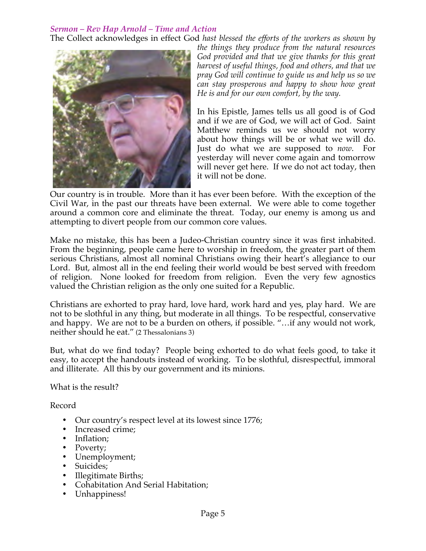## *Sermon – Rev Hap Arnold – Time and Action*

The Collect acknowledges in effect God *hast blessed the efforts of the workers as shown by* 



*the things they produce from the natural resources God provided and that we give thanks for this great harvest of useful things, food and others, and that we pray God will continue to guide us and help us so we can stay prosperous and happy to show how great He is and for our own comfort, by the way.*

In his Epistle, James tells us all good is of God and if we are of God, we will act of God. Saint Matthew reminds us we should not worry about how things will be or what we will do. Just do what we are supposed to *now*. For yesterday will never come again and tomorrow will never get here. If we do not act today, then it will not be done.

Our country is in trouble. More than it has ever been before. With the exception of the Civil War, in the past our threats have been external. We were able to come together around a common core and eliminate the threat. Today, our enemy is among us and attempting to divert people from our common core values.

Make no mistake, this has been a Judeo-Christian country since it was first inhabited. From the beginning, people came here to worship in freedom, the greater part of them serious Christians, almost all nominal Christians owing their heart's allegiance to our Lord. But, almost all in the end feeling their world would be best served with freedom of religion. None looked for freedom from religion. Even the very few agnostics valued the Christian religion as the only one suited for a Republic.

Christians are exhorted to pray hard, love hard, work hard and yes, play hard. We are not to be slothful in any thing, but moderate in all things. To be respectful, conservative and happy. We are not to be a burden on others, if possible. "…if any would not work, neither should he eat." (2 Thessalonians 3)

But, what do we find today? People being exhorted to do what feels good, to take it easy, to accept the handouts instead of working. To be slothful, disrespectful, immoral and illiterate. All this by our government and its minions.

What is the result?

Record

- Our country's respect level at its lowest since 1776;
- Increased crime;
- Inflation:
- Poverty;
- Unemployment;
- Suicides;
- Illegitimate Births;
- Cohabitation And Serial Habitation;
- Unhappiness!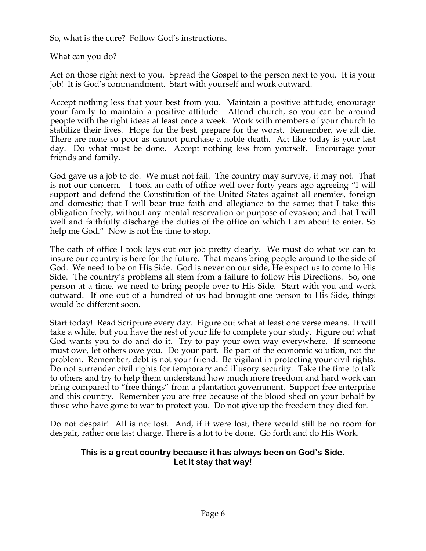So, what is the cure? Follow God's instructions.

What can you do?

Act on those right next to you. Spread the Gospel to the person next to you. It is your job! It is God's commandment. Start with yourself and work outward.

Accept nothing less that your best from you. Maintain a positive attitude, encourage your family to maintain a positive attitude. Attend church, so you can be around people with the right ideas at least once a week. Work with members of your church to stabilize their lives. Hope for the best, prepare for the worst. Remember, we all die. There are none so poor as cannot purchase a noble death. Act like today is your last day. Do what must be done. Accept nothing less from yourself. Encourage your friends and family.

God gave us a job to do. We must not fail. The country may survive, it may not. That is not our concern. I took an oath of office well over forty years ago agreeing "I will support and defend the Constitution of the United States against all enemies, foreign and domestic; that I will bear true faith and allegiance to the same; that I take this obligation freely, without any mental reservation or purpose of evasion; and that I will well and faithfully discharge the duties of the office on which I am about to enter. So help me God." Now is not the time to stop.

The oath of office I took lays out our job pretty clearly. We must do what we can to insure our country is here for the future. That means bring people around to the side of God. We need to be on His Side. God is never on our side, He expect us to come to His Side. The country's problems all stem from a failure to follow His Directions. So, one person at a time, we need to bring people over to His Side. Start with you and work outward. If one out of a hundred of us had brought one person to His Side, things would be different soon.

Start today! Read Scripture every day. Figure out what at least one verse means. It will take a while, but you have the rest of your life to complete your study. Figure out what God wants you to do and do it. Try to pay your own way everywhere. If someone must owe, let others owe you. Do your part. Be part of the economic solution, not the problem. Remember, debt is not your friend. Be vigilant in protecting your civil rights. Do not surrender civil rights for temporary and illusory security. Take the time to talk to others and try to help them understand how much more freedom and hard work can bring compared to "free things" from a plantation government. Support free enterprise and this country. Remember you are free because of the blood shed on your behalf by those who have gone to war to protect you. Do not give up the freedom they died for.

Do not despair! All is not lost. And, if it were lost, there would still be no room for despair, rather one last charge. There is a lot to be done. Go forth and do His Work.

# **This is a great country because it has always been on God's Side. Let it stay that way!**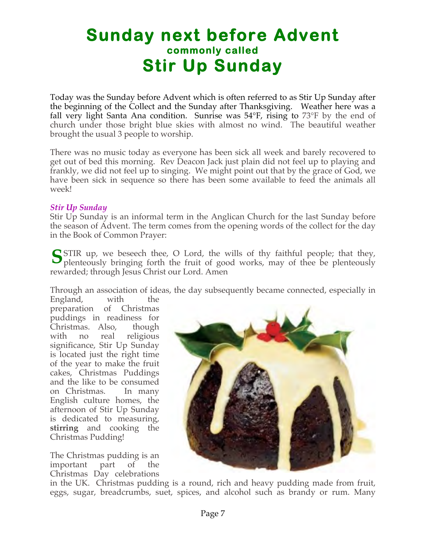# **Sunday next before Advent commonly called Stir Up Sunday**

Today was the Sunday before Advent which is often referred to as Stir Up Sunday after the beginning of the Collect and the Sunday after Thanksgiving. Weather here was a fall very light Santa Ana condition. Sunrise was 54°F, rising to 73°F by the end of church under those bright blue skies with almost no wind. The beautiful weather brought the usual 3 people to worship.

There was no music today as everyone has been sick all week and barely recovered to get out of bed this morning. Rev Deacon Jack just plain did not feel up to playing and frankly, we did not feel up to singing. We might point out that by the grace of God, we have been sick in sequence so there has been some available to feed the animals all week!

#### *Stir Up Sunday*

Stir Up Sunday is an informal term in the Anglican Church for the last Sunday before the season of Advent. The term comes from the opening words of the collect for the day in the Book of Common Prayer:

STIR up, we beseech thee, O Lord, the wills of thy faithful people; that they, plenteously bringing forth the fruit of good works, may of thee be plenteously plenteously bringing forth the fruit of good works, may of thee be plenteously rewarded; through Jesus Christ our Lord. Amen

Through an association of ideas, the day subsequently became connected, especially in

England, with the preparation of Christmas puddings in readiness for Christmas. Also, though with no real religious significance, Stir Up Sunday is located just the right time of the year to make the fruit cakes, Christmas Puddings and the like to be consumed on Christmas. In many English culture homes, the afternoon of Stir Up Sunday is dedicated to measuring, **stirring** and cooking the Christmas Pudding!

The Christmas pudding is an important part of the Christmas Day celebrations



in the UK. Christmas pudding is a round, rich and heavy pudding made from fruit, eggs, sugar, breadcrumbs, suet, spices, and alcohol such as brandy or rum. Many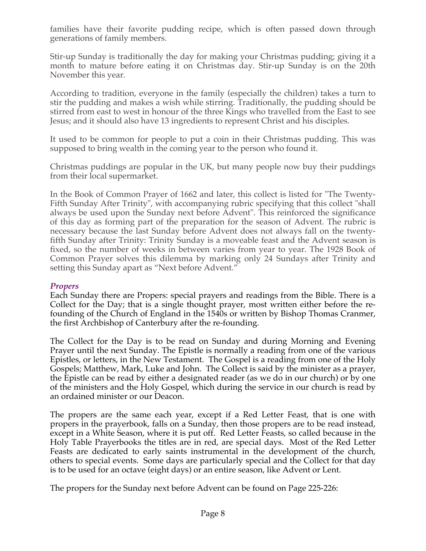families have their favorite pudding recipe, which is often passed down through generations of family members.

Stir-up Sunday is traditionally the day for making your Christmas pudding; giving it a month to mature before eating it on Christmas day. Stir-up Sunday is on the 20th November this year.

According to tradition, everyone in the family (especially the children) takes a turn to stir the pudding and makes a wish while stirring. Traditionally, the pudding should be stirred from east to west in honour of the three Kings who travelled from the East to see Jesus; and it should also have 13 ingredients to represent Christ and his disciples.

It used to be common for people to put a coin in their Christmas pudding. This was supposed to bring wealth in the coming year to the person who found it.

Christmas puddings are popular in the UK, but many people now buy their puddings from their local supermarket.

In the Book of Common Prayer of 1662 and later, this collect is listed for "The Twenty-Fifth Sunday After Trinity", with accompanying rubric specifying that this collect "shall always be used upon the Sunday next before Advent". This reinforced the significance of this day as forming part of the preparation for the season of Advent. The rubric is necessary because the last Sunday before Advent does not always fall on the twentyfifth Sunday after Trinity: Trinity Sunday is a moveable feast and the Advent season is fixed, so the number of weeks in between varies from year to year. The 1928 Book of Common Prayer solves this dilemma by marking only 24 Sundays after Trinity and setting this Sunday apart as "Next before Advent."

# *Propers*

Each Sunday there are Propers: special prayers and readings from the Bible. There is a Collect for the Day; that is a single thought prayer, most written either before the refounding of the Church of England in the 1540s or written by Bishop Thomas Cranmer, the first Archbishop of Canterbury after the re-founding.

The Collect for the Day is to be read on Sunday and during Morning and Evening Prayer until the next Sunday. The Epistle is normally a reading from one of the various Epistles, or letters, in the New Testament. The Gospel is a reading from one of the Holy Gospels; Matthew, Mark, Luke and John. The Collect is said by the minister as a prayer, the Epistle can be read by either a designated reader (as we do in our church) or by one of the ministers and the Holy Gospel, which during the service in our church is read by an ordained minister or our Deacon.

The propers are the same each year, except if a Red Letter Feast, that is one with propers in the prayerbook, falls on a Sunday, then those propers are to be read instead, except in a White Season, where it is put off. Red Letter Feasts, so called because in the Holy Table Prayerbooks the titles are in red, are special days. Most of the Red Letter Feasts are dedicated to early saints instrumental in the development of the church, others to special events. Some days are particularly special and the Collect for that day is to be used for an octave (eight days) or an entire season, like Advent or Lent.

The propers for the Sunday next before Advent can be found on Page 225-226: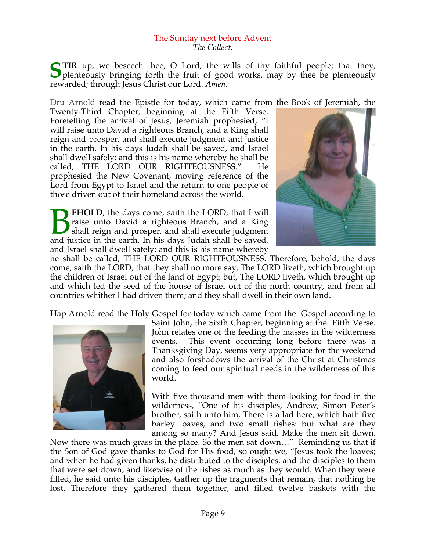#### The Sunday next before Advent *The Collect.*

**TIR** up, we beseech thee, O Lord, the wills of thy faithful people; that they, STIR up, we beseech thee, O Lord, the wills of thy faithful people; that they, plenteously bringing forth the fruit of good works, may by thee be plenteously rewarded; through Jesus Christ our Lord. *Amen*.

Dru Arnold read the Epistle for today, which came from the Book of Jeremiah, the

Twenty-Third Chapter, beginning at the Fifth Verse. Foretelling the arrival of Jesus, Jeremiah prophesied, "I will raise unto David a righteous Branch, and a King shall reign and prosper, and shall execute judgment and justice in the earth. In his days Judah shall be saved, and Israel shall dwell safely: and this is his name whereby he shall be called, THE LORD OUR RIGHTEOUSNESS." He prophesied the New Covenant, moving reference of the Lord from Egypt to Israel and the return to one people of those driven out of their homeland across the world.

**EHOLD**, the days come, saith the LORD, that I will raise unto David a righteous Branch, and a King shall reign and prosper, and shall execute judgment **BEHOLD**, the days come, saith the LORD, that I will raise unto David a righteous Branch, and a King shall reign and prosper, and shall execute judgment and justice in the earth. In his days Judah shall be saved, and Israel shall dwell safely: and this is his name whereby



he shall be called, THE LORD OUR RIGHTEOUSNESS. Therefore, behold, the days come, saith the LORD, that they shall no more say, The LORD liveth, which brought up the children of Israel out of the land of Egypt; but, The LORD liveth, which brought up and which led the seed of the house of Israel out of the north country, and from all countries whither I had driven them; and they shall dwell in their own land.

Hap Arnold read the Holy Gospel for today which came from the Gospel according to



Saint John, the Sixth Chapter, beginning at the Fifth Verse. John relates one of the feeding the masses in the wilderness events. This event occurring long before there was a Thanksgiving Day, seems very appropriate for the weekend and also forshadows the arrival of the Christ at Christmas coming to feed our spiritual needs in the wilderness of this world.

With five thousand men with them looking for food in the wilderness, "One of his disciples, Andrew, Simon Peter's brother, saith unto him, There is a lad here, which hath five barley loaves, and two small fishes: but what are they among so many? And Jesus said, Make the men sit down.

Now there was much grass in the place. So the men sat down…" Reminding us that if the Son of God gave thanks to God for His food, so ought we, "Jesus took the loaves; and when he had given thanks, he distributed to the disciples, and the disciples to them that were set down; and likewise of the fishes as much as they would. When they were filled, he said unto his disciples, Gather up the fragments that remain, that nothing be lost. Therefore they gathered them together, and filled twelve baskets with the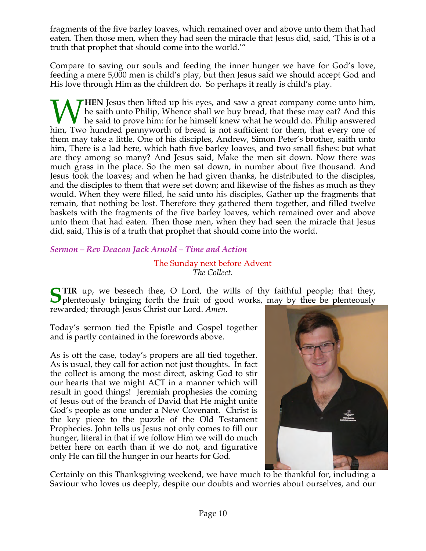fragments of the five barley loaves, which remained over and above unto them that had eaten. Then those men, when they had seen the miracle that Jesus did, said, 'This is of a truth that prophet that should come into the world.'"

Compare to saving our souls and feeding the inner hunger we have for God's love, feeding a mere 5,000 men is child's play, but then Jesus said we should accept God and His love through Him as the children do. So perhaps it really is child's play.

**HEN** Jesus then lifted up his eyes, and saw a great company come unto him, he saith unto Philip, Whence shall we buy bread, that these may eat? And this he said to prove him: for he himself knew what he would do. Philip answered Whence shall we buy bread, that these may eat? And this he said to prove him: for he himself knew what he would do. Philip answered him, Two hundred pennyworth of bread is not sufficient for them, that every one of them may take a little. One of his disciples, Andrew, Simon Peter's brother, saith unto him, There is a lad here, which hath five barley loaves, and two small fishes: but what are they among so many? And Jesus said, Make the men sit down. Now there was much grass in the place. So the men sat down, in number about five thousand. And Jesus took the loaves; and when he had given thanks, he distributed to the disciples, and the disciples to them that were set down; and likewise of the fishes as much as they would. When they were filled, he said unto his disciples, Gather up the fragments that remain, that nothing be lost. Therefore they gathered them together, and filled twelve baskets with the fragments of the five barley loaves, which remained over and above unto them that had eaten. Then those men, when they had seen the miracle that Jesus did, said, This is of a truth that prophet that should come into the world.

*Sermon – Rev Deacon Jack Arnold – Time and Action*

## The Sunday next before Advent *The Collect.*

**TIR** up, we beseech thee, O Lord, the wills of thy faithful people; that they, STIR up, we beseech thee, O Lord, the wills of thy faithful people; that they, plenteously bringing forth the fruit of good works, may by thee be plenteously rewarded; through Jesus Christ our Lord. *Amen*.

Today's sermon tied the Epistle and Gospel together and is partly contained in the forewords above.

As is oft the case, today's propers are all tied together. As is usual, they call for action not just thoughts. In fact the collect is among the most direct, asking God to stir our hearts that we might ACT in a manner which will result in good things! Jeremiah prophesies the coming of Jesus out of the branch of David that He might unite God's people as one under a New Covenant. Christ is the key piece to the puzzle of the Old Testament Prophecies. John tells us Jesus not only comes to fill our hunger, literal in that if we follow Him we will do much better here on earth than if we do not, and figurative only He can fill the hunger in our hearts for God.



Certainly on this Thanksgiving weekend, we have much to be thankful for, including a Saviour who loves us deeply, despite our doubts and worries about ourselves, and our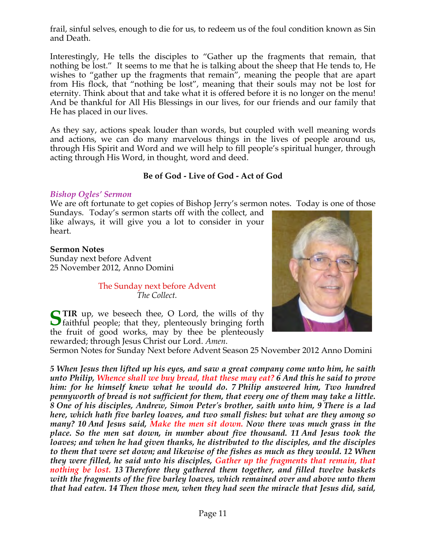frail, sinful selves, enough to die for us, to redeem us of the foul condition known as Sin and Death.

Interestingly, He tells the disciples to "Gather up the fragments that remain, that nothing be lost." It seems to me that he is talking about the sheep that He tends to, He wishes to "gather up the fragments that remain", meaning the people that are apart from His flock, that "nothing be lost", meaning that their souls may not be lost for eternity. Think about that and take what it is offered before it is no longer on the menu! And be thankful for All His Blessings in our lives, for our friends and our family that He has placed in our lives.

As they say, actions speak louder than words, but coupled with well meaning words and actions, we can do many marvelous things in the lives of people around us, through His Spirit and Word and we will help to fill people's spiritual hunger, through acting through His Word, in thought, word and deed.

# **Be of God - Live of God - Act of God**

## *Bishop Ogles' Sermon*

We are oft fortunate to get copies of Bishop Jerry's sermon notes. Today is one of those

Sundays. Today's sermon starts off with the collect, and like always, it will give you a lot to consider in your heart.

#### **Sermon Notes**

Sunday next before Advent 25 November 2012, Anno Domini

#### The Sunday next before Advent *The Collect.*



**TIR** up, we beseech thee, O Lord, the wills of thy **S** TIR up, we beseech thee, O Lord, the wills of thy faithful people; that they, plenteously bringing forth the fruit of good works, may by thee be plenteously rewarded; through Jesus Christ our Lord. *Amen*.

Sermon Notes for Sunday Next before Advent Season 25 November 2012 Anno Domini

*5 When Jesus then lifted up his eyes, and saw a great company come unto him, he saith unto Philip, Whence shall we buy bread, that these may eat? 6 And this he said to prove him: for he himself knew what he would do. 7 Philip answered him, Two hundred pennyworth of bread is not sufficient for them, that every one of them may take a little. 8 One of his disciples, Andrew, Simon Peter's brother, saith unto him, 9 There is a lad here, which hath five barley loaves, and two small fishes: but what are they among so many? 10 And Jesus said, Make the men sit down. Now there was much grass in the place. So the men sat down, in number about five thousand. 11 And Jesus took the loaves; and when he had given thanks, he distributed to the disciples, and the disciples to them that were set down; and likewise of the fishes as much as they would. 12 When they were filled, he said unto his disciples, Gather up the fragments that remain, that nothing be lost. 13 Therefore they gathered them together, and filled twelve baskets with the fragments of the five barley loaves, which remained over and above unto them that had eaten. 14 Then those men, when they had seen the miracle that Jesus did, said,*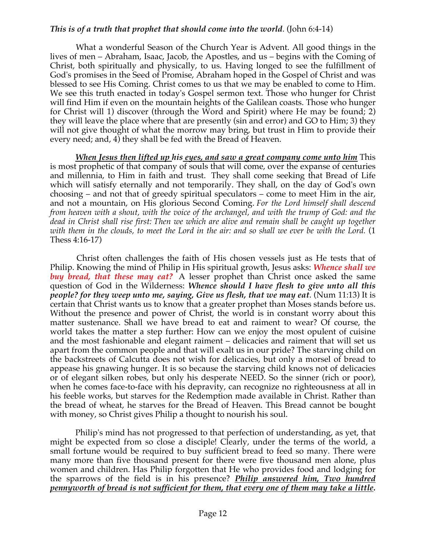#### *This is of a truth that prophet that should come into the world*. (John 6:4-14)

 What a wonderful Season of the Church Year is Advent. All good things in the lives of men – Abraham, Isaac, Jacob, the Apostles, and us – begins with the Coming of Christ, both spiritually and physically, to us. Having longed to see the fulfillment of God's promises in the Seed of Promise, Abraham hoped in the Gospel of Christ and was blessed to see His Coming. Christ comes to us that we may be enabled to come to Him. We see this truth enacted in today's Gospel sermon text. Those who hunger for Christ will find Him if even on the mountain heights of the Galilean coasts. Those who hunger for Christ will 1) discover (through the Word and Spirit) where He may be found; 2) they will leave the place where that are presently (sin and error) and GO to Him; 3) they will not give thought of what the morrow may bring, but trust in Him to provide their every need; and, 4) they shall be fed with the Bread of Heaven.

 *When Jesus then lifted up his eyes, and saw a great company come unto him* This is most prophetic of that company of souls that will come, over the expanse of centuries and millennia, to Him in faith and trust. They shall come seeking that Bread of Life which will satisfy eternally and not temporarily. They shall, on the day of God's own choosing – and not that of greedy spiritual speculators – come to meet Him in the air, and not a mountain, on His glorious Second Coming. *For the Lord himself shall descend from heaven with a shout, with the voice of the archangel, and with the trump of God: and the dead in Christ shall rise first: Then we which are alive and remain shall be caught up together with them in the clouds, to meet the Lord in the air: and so shall we ever be with the Lord.* (1 Thess 4:16-17)

 Christ often challenges the faith of His chosen vessels just as He tests that of Philip. Knowing the mind of Philip in His spiritual growth, Jesus asks: *Whence shall we buy bread, that these may eat?* A lesser prophet than Christ once asked the same question of God in the Wilderness: *Whence should I have flesh to give unto all this people? for they weep unto me, saying, Give us flesh, that we may eat*. (Num 11:13) It is certain that Christ wants us to know that a greater prophet than Moses stands before us. Without the presence and power of Christ, the world is in constant worry about this matter sustenance. Shall we have bread to eat and raiment to wear? Of course, the world takes the matter a step further: How can we enjoy the most opulent of cuisine and the most fashionable and elegant raiment – delicacies and raiment that will set us apart from the common people and that will exalt us in our pride? The starving child on the backstreets of Calcutta does not wish for delicacies, but only a morsel of bread to appease his gnawing hunger. It is so because the starving child knows not of delicacies or of elegant silken robes, but only his desperate NEED. So the sinner (rich or poor), when he comes face-to-face with his depravity, can recognize no righteousness at all in his feeble works, but starves for the Redemption made available in Christ. Rather than the bread of wheat, he starves for the Bread of Heaven. This Bread cannot be bought with money, so Christ gives Philip a thought to nourish his soul.

 Philip's mind has not progressed to that perfection of understanding, as yet, that might be expected from so close a disciple! Clearly, under the terms of the world, a small fortune would be required to buy sufficient bread to feed so many. There were many more than five thousand present for there were five thousand men alone, plus women and children. Has Philip forgotten that He who provides food and lodging for the sparrows of the field is in his presence? *Philip answered him, Two hundred pennyworth of bread is not sufficient for them, that every one of them may take a little.*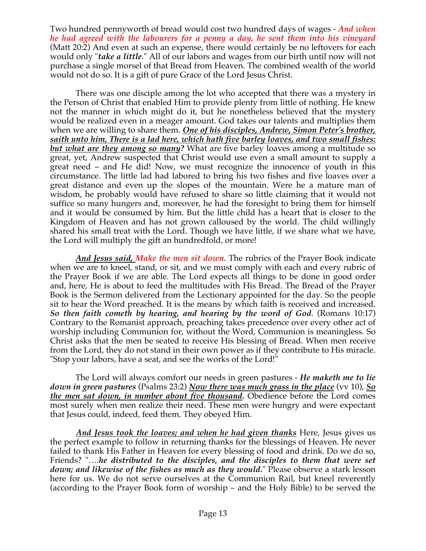Two hundred pennyworth of bread would cost two hundred days of wages - *And when he had agreed with the labourers for a penny a day, he sent them into his vineyard* (Matt 20:2) And even at such an expense, there would certainly be no leftovers for each would only "*take a little*." All of our labors and wages from our birth until now will not purchase a single morsel of that Bread from Heaven. The combined wealth of the world would not do so. It is a gift of pure Grace of the Lord Jesus Christ.

 There was one disciple among the lot who accepted that there was a mystery in the Person of Christ that enabled Him to provide plenty from little of nothing. He knew not the manner in which might do it, but he nonetheless believed that the mystery would be realized even in a meager amount. God takes our talents and multiplies them when we are willing to share them. *One of his disciples, Andrew, Simon Peter's brother, saith unto him, There is a lad here, which hath five barley loaves, and two small fishes: but what are they among so many?* What are five barley loaves among a multitude so great, yet, Andrew suspected that Christ would use even a small amount to supply a great need – and He did! Now, we must recognize the innocence of youth in this circumstance. The little lad had labored to bring his two fishes and five loaves over a great distance and even up the slopes of the mountain. Were he a mature man of wisdom, he probably would have refused to share so little claiming that it would not suffice so many hungers and, moreover, he had the foresight to bring them for himself and it would be consumed by him. But the little child has a heart that is closer to the Kingdom of Heaven and has not grown calloused by the world. The child willingly shared his small treat with the Lord. Though we have little, if we share what we have, the Lord will multiply the gift an hundredfold, or more!

 *And Jesus said, Make the men sit down.* The rubrics of the Prayer Book indicate when we are to kneel, stand, or sit, and we must comply with each and every rubric of the Prayer Book if we are able. The Lord expects all things to be done in good order and, here, He is about to feed the multitudes with His Bread. The Bread of the Prayer Book is the Sermon delivered from the Lectionary appointed for the day. So the people sit to hear the Word preached. It is the means by which faith is received and increased. *So then faith cometh by hearing, and hearing by the word of God*. (Romans 10:17) Contrary to the Romanist approach, preaching takes precedence over every other act of worship including Communion for, without the Word, Communion is meaningless. So Christ asks that the men be seated to receive His blessing of Bread. When men receive from the Lord, they do not stand in their own power as if they contribute to His miracle. "Stop your labors, have a seat, and see the works of the Lord!"

 The Lord will always comfort our needs in green pastures - *He maketh me to lie down in green pastures* (Psalms 23:2) *Now there was much grass in the place* (vv 10), *So the men sat down, in number about five thousand.* Obedience before the Lord comes most surely when men realize their need. These men were hungry and were expectant that Jesus could, indeed, feed them. They obeyed Him.

 *And Jesus took the loaves; and when he had given thanks* Here, Jesus gives us the perfect example to follow in returning thanks for the blessings of Heaven. He never failed to thank His Father in Heaven for every blessing of food and drink. Do we do so, Friends? "….*he distributed to the disciples, and the disciples to them that were set down; and likewise of the fishes as much as they would.*" Please observe a stark lesson here for us. We do not serve ourselves at the Communion Rail, but kneel reverently (according to the Prayer Book form of worship – and the Holy Bible) to be served the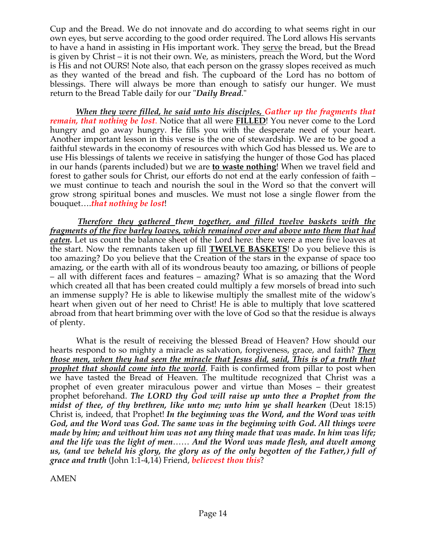Cup and the Bread. We do not innovate and do according to what seems right in our own eyes, but serve according to the good order required. The Lord allows His servants to have a hand in assisting in His important work. They serve the bread, but the Bread is given by Christ – it is not their own. We, as ministers, preach the Word, but the Word is His and not OURS! Note also, that each person on the grassy slopes received as much as they wanted of the bread and fish. The cupboard of the Lord has no bottom of blessings. There will always be more than enough to satisfy our hunger. We must return to the Bread Table daily for our "*Daily Bread*."

 *When they were filled, he said unto his disciples, Gather up the fragments that remain, that nothing be lost*. Notice that all were **FILLED**! You never come to the Lord hungry and go away hungry. He fills you with the desperate need of your heart. Another important lesson in this verse is the one of stewardship. We are to be good a faithful stewards in the economy of resources with which God has blessed us. We are to use His blessings of talents we receive in satisfying the hunger of those God has placed in our hands (parents included) but we are **to waste nothing**! When we travel field and forest to gather souls for Christ, our efforts do not end at the early confession of faith – we must continue to teach and nourish the soul in the Word so that the convert will grow strong spiritual bones and muscles. We must not lose a single flower from the bouquet….*that nothing be lost*!

 *Therefore they gathered them together, and filled twelve baskets with the fragments of the five barley loaves, which remained over and above unto them that had eaten.* Let us count the balance sheet of the Lord here: there were a mere five loaves at the start. Now the remnants taken up fill **TWELVE BASKETS**! Do you believe this is too amazing? Do you believe that the Creation of the stars in the expanse of space too amazing, or the earth with all of its wondrous beauty too amazing, or billions of people – all with different faces and features – amazing? What is so amazing that the Word which created all that has been created could multiply a few morsels of bread into such an immense supply? He is able to likewise multiply the smallest mite of the widow's heart when given out of her need to Christ! He is able to multiply that love scattered abroad from that heart brimming over with the love of God so that the residue is always of plenty.

 What is the result of receiving the blessed Bread of Heaven? How should our hearts respond to so mighty a miracle as salvation, forgiveness, grace, and faith? *Then those men, when they had seen the miracle that Jesus did, said, This is of a truth that prophet that should come into the world*. Faith is confirmed from pillar to post when we have tasted the Bread of Heaven. The multitude recognized that Christ was a prophet of even greater miraculous power and virtue than Moses – their greatest prophet beforehand. *The LORD thy God will raise up unto thee a Prophet from the midst of thee, of thy brethren, like unto me; unto him ye shall hearken* (Deut 18:15) Christ is, indeed, that Prophet! *In the beginning was the Word, and the Word was with God, and the Word was God. The same was in the beginning with God. All things were made by him; and without him was not any thing made that was made. In him was life; and the life was the light of men*…… *And the Word was made flesh, and dwelt among us, (and we beheld his glory, the glory as of the only begotten of the Father,) full of grace and truth* (John 1:1-4,14) Friend, *believest thou this*?

AMEN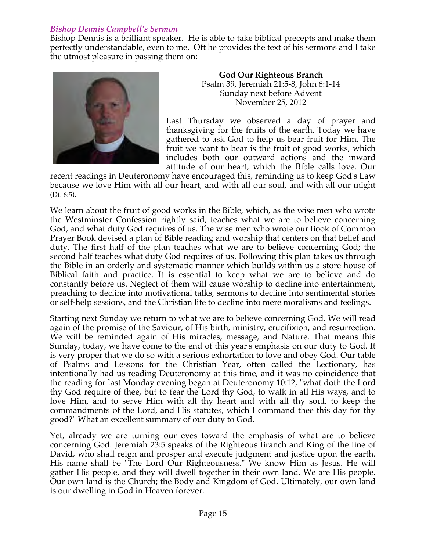# *Bishop Dennis Campbell's Sermon*

Bishop Dennis is a brilliant speaker. He is able to take biblical precepts and make them perfectly understandable, even to me. Oft he provides the text of his sermons and I take the utmost pleasure in passing them on:



**God Our Righteous Branch** Psalm 39, Jeremiah 21:5-8, John 6:1-14 Sunday next before Advent November 25, 2012

Last Thursday we observed a day of prayer and thanksgiving for the fruits of the earth. Today we have gathered to ask God to help us bear fruit for Him. The fruit we want to bear is the fruit of good works, which includes both our outward actions and the inward attitude of our heart, which the Bible calls love. Our

recent readings in Deuteronomy have encouraged this, reminding us to keep God's Law because we love Him with all our heart, and with all our soul, and with all our might (Dt. 6:5).

We learn about the fruit of good works in the Bible, which, as the wise men who wrote the Westminster Confession rightly said, teaches what we are to believe concerning God, and what duty God requires of us. The wise men who wrote our Book of Common Prayer Book devised a plan of Bible reading and worship that centers on that belief and duty. The first half of the plan teaches what we are to believe concerning God; the second half teaches what duty God requires of us. Following this plan takes us through the Bible in an orderly and systematic manner which builds within us a store house of Biblical faith and practice. It is essential to keep what we are to believe and do constantly before us. Neglect of them will cause worship to decline into entertainment, preaching to decline into motivational talks, sermons to decline into sentimental stories or self-help sessions, and the Christian life to decline into mere moralisms and feelings.

Starting next Sunday we return to what we are to believe concerning God. We will read again of the promise of the Saviour, of His birth, ministry, crucifixion, and resurrection. We will be reminded again of His miracles, message, and Nature. That means this Sunday, today, we have come to the end of this year's emphasis on our duty to God. It is very proper that we do so with a serious exhortation to love and obey God. Our table of Psalms and Lessons for the Christian Year, often called the Lectionary, has intentionally had us reading Deuteronomy at this time, and it was no coincidence that the reading for last Monday evening began at Deuteronomy 10:12, "what doth the Lord thy God require of thee, but to fear the Lord thy God, to walk in all His ways, and to love Him, and to serve Him with all thy heart and with all thy soul, to keep the commandments of the Lord, and His statutes, which I command thee this day for thy good?" What an excellent summary of our duty to God.

Yet, already we are turning our eyes toward the emphasis of what are to believe concerning God. Jeremiah 23:5 speaks of the Righteous Branch and King of the line of David, who shall reign and prosper and execute judgment and justice upon the earth. His name shall be "The Lord Our Righteousness." We know Him as Jesus. He will gather His people, and they will dwell together in their own land. We are His people. Our own land is the Church; the Body and Kingdom of God. Ultimately, our own land is our dwelling in God in Heaven forever.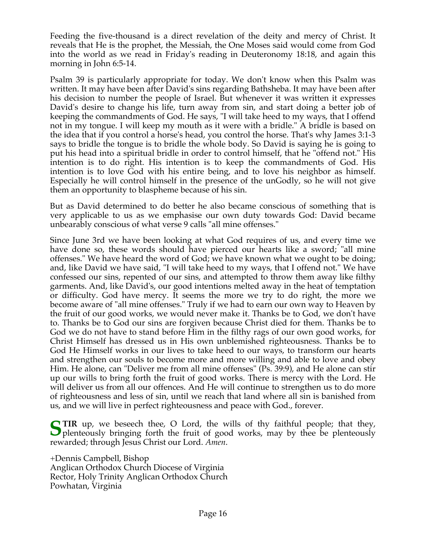Feeding the five-thousand is a direct revelation of the deity and mercy of Christ. It reveals that He is the prophet, the Messiah, the One Moses said would come from God into the world as we read in Friday's reading in Deuteronomy 18:18, and again this morning in John 6:5-14.

Psalm 39 is particularly appropriate for today. We don't know when this Psalm was written. It may have been after David's sins regarding Bathsheba. It may have been after his decision to number the people of Israel. But whenever it was written it expresses David's desire to change his life, turn away from sin, and start doing a better job of keeping the commandments of God. He says, "I will take heed to my ways, that I offend not in my tongue. I will keep my mouth as it were with a bridle." A bridle is based on the idea that if you control a horse's head, you control the horse. That's why James 3:1-3 says to bridle the tongue is to bridle the whole body. So David is saying he is going to put his head into a spiritual bridle in order to control himself, that he "offend not." His intention is to do right. His intention is to keep the commandments of God. His intention is to love God with his entire being, and to love his neighbor as himself. Especially he will control himself in the presence of the unGodly, so he will not give them an opportunity to blaspheme because of his sin.

But as David determined to do better he also became conscious of something that is very applicable to us as we emphasise our own duty towards God: David became unbearably conscious of what verse 9 calls "all mine offenses."

Since June 3rd we have been looking at what God requires of us, and every time we have done so, these words should have pierced our hearts like a sword; "all mine offenses." We have heard the word of God; we have known what we ought to be doing; and, like David we have said, "I will take heed to my ways, that I offend not." We have confessed our sins, repented of our sins, and attempted to throw them away like filthy garments. And, like David's, our good intentions melted away in the heat of temptation or difficulty. God have mercy. It seems the more we try to do right, the more we become aware of "all mine offenses." Truly if we had to earn our own way to Heaven by the fruit of our good works, we would never make it. Thanks be to God, we don't have to. Thanks be to God our sins are forgiven because Christ died for them. Thanks be to God we do not have to stand before Him in the filthy rags of our own good works, for Christ Himself has dressed us in His own unblemished righteousness. Thanks be to God He Himself works in our lives to take heed to our ways, to transform our hearts and strengthen our souls to become more and more willing and able to love and obey Him. He alone, can "Deliver me from all mine offenses" (Ps. 39:9), and He alone can stir up our wills to bring forth the fruit of good works. There is mercy with the Lord. He will deliver us from all our offences. And He will continue to strengthen us to do more of righteousness and less of sin, until we reach that land where all sin is banished from us, and we will live in perfect righteousness and peace with God., forever.

**S** TIR up, we beseech thee, O Lord, the wills of thy faithful people; that they, plenteously bringing forth the fruit of good works, may by thee be plenteously **O** plenteously bringing forth the fruit of good works, may by thee be plenteously rewarded; through Jesus Christ our Lord. *Amen*.

+Dennis Campbell, Bishop Anglican Orthodox Church Diocese of Virginia Rector, Holy Trinity Anglican Orthodox Church Powhatan, Virginia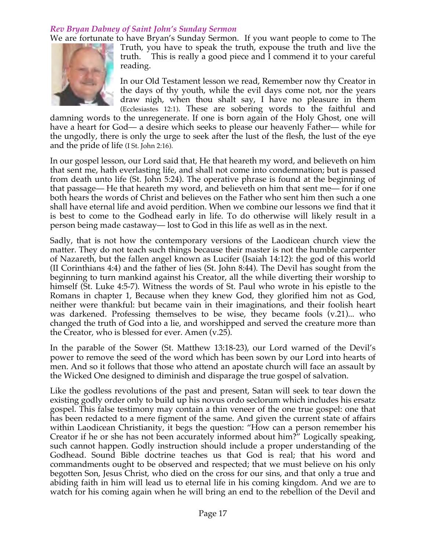# *Rev Bryan Dabney of Saint John's Sunday Sermon*

We are fortunate to have Bryan's Sunday Sermon. If you want people to come to The Truth, you have to speak the truth, expouse the truth and live the truth. This is really a good piece and I commend it to your careful reading.

> In our Old Testament lesson we read, Remember now thy Creator in the days of thy youth, while the evil days come not, nor the years draw nigh, when thou shalt say, I have no pleasure in them (Ecclesiastes 12:1). These are sobering words to the faithful and

damning words to the unregenerate. If one is born again of the Holy Ghost, one will have a heart for God— a desire which seeks to please our heavenly Father— while for the ungodly, there is only the urge to seek after the lust of the flesh, the lust of the eye and the pride of life (I St. John 2:16).

In our gospel lesson, our Lord said that, He that heareth my word, and believeth on him that sent me, hath everlasting life, and shall not come into condemnation; but is passed from death unto life (St. John 5:24). The operative phrase is found at the beginning of that passage— He that heareth my word, and believeth on him that sent me— for if one both hears the words of Christ and believes on the Father who sent him then such a one shall have eternal life and avoid perdition. When we combine our lessons we find that it is best to come to the Godhead early in life. To do otherwise will likely result in a person being made castaway— lost to God in this life as well as in the next.

Sadly, that is not how the contemporary versions of the Laodicean church view the matter. They do not teach such things because their master is not the humble carpenter of Nazareth, but the fallen angel known as Lucifer (Isaiah 14:12): the god of this world (II Corinthians 4:4) and the father of lies (St. John 8:44). The Devil has sought from the beginning to turn mankind against his Creator, all the while diverting their worship to himself (St. Luke 4:5-7). Witness the words of St. Paul who wrote in his epistle to the Romans in chapter 1, Because when they knew God, they glorified him not as God, neither were thankful: but became vain in their imaginations, and their foolish heart was darkened. Professing themselves to be wise, they became fools (v.21)... who changed the truth of God into a lie, and worshipped and served the creature more than the Creator, who is blessed for ever. Amen (v.25).

In the parable of the Sower (St. Matthew 13:18-23), our Lord warned of the Devil's power to remove the seed of the word which has been sown by our Lord into hearts of men. And so it follows that those who attend an apostate church will face an assault by the Wicked One designed to diminish and disparage the true gospel of salvation.

Like the godless revolutions of the past and present, Satan will seek to tear down the existing godly order only to build up his novus ordo seclorum which includes his ersatz gospel. This false testimony may contain a thin veneer of the one true gospel: one that has been redacted to a mere figment of the same. And given the current state of affairs within Laodicean Christianity, it begs the question: "How can a person remember his Creator if he or she has not been accurately informed about him?" Logically speaking, such cannot happen. Godly instruction should include a proper understanding of the Godhead. Sound Bible doctrine teaches us that God is real; that his word and commandments ought to be observed and respected; that we must believe on his only begotten Son, Jesus Christ, who died on the cross for our sins, and that only a true and abiding faith in him will lead us to eternal life in his coming kingdom. And we are to watch for his coming again when he will bring an end to the rebellion of the Devil and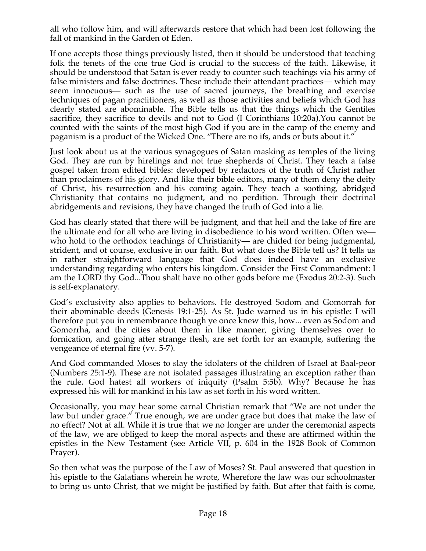all who follow him, and will afterwards restore that which had been lost following the fall of mankind in the Garden of Eden.

If one accepts those things previously listed, then it should be understood that teaching folk the tenets of the one true God is crucial to the success of the faith. Likewise, it should be understood that Satan is ever ready to counter such teachings via his army of false ministers and false doctrines. These include their attendant practices— which may seem innocuous— such as the use of sacred journeys, the breathing and exercise techniques of pagan practitioners, as well as those activities and beliefs which God has clearly stated are abominable. The Bible tells us that the things which the Gentiles sacrifice, they sacrifice to devils and not to God (I Corinthians 10:20a).You cannot be counted with the saints of the most high God if you are in the camp of the enemy and paganism is a product of the Wicked One. "There are no ifs, ands or buts about it."

Just look about us at the various synagogues of Satan masking as temples of the living God. They are run by hirelings and not true shepherds of Christ. They teach a false gospel taken from edited bibles: developed by redactors of the truth of Christ rather than proclaimers of his glory. And like their bible editors, many of them deny the deity of Christ, his resurrection and his coming again. They teach a soothing, abridged Christianity that contains no judgment, and no perdition. Through their doctrinal abridgements and revisions, they have changed the truth of God into a lie.

God has clearly stated that there will be judgment, and that hell and the lake of fire are the ultimate end for all who are living in disobedience to his word written. Often we who hold to the orthodox teachings of Christianity— are chided for being judgmental, strident, and of course, exclusive in our faith. But what does the Bible tell us? It tells us in rather straightforward language that God does indeed have an exclusive understanding regarding who enters his kingdom. Consider the First Commandment: I am the LORD thy God...Thou shalt have no other gods before me (Exodus 20:2-3). Such is self-explanatory.

God's exclusivity also applies to behaviors. He destroyed Sodom and Gomorrah for their abominable deeds (Genesis 19:1-25). As St. Jude warned us in his epistle: I will therefore put you in remembrance though ye once knew this, how... even as Sodom and Gomorrha, and the cities about them in like manner, giving themselves over to fornication, and going after strange flesh, are set forth for an example, suffering the vengeance of eternal fire (vv. 5-7).

And God commanded Moses to slay the idolaters of the children of Israel at Baal-peor (Numbers 25:1-9). These are not isolated passages illustrating an exception rather than the rule. God hatest all workers of iniquity (Psalm 5:5b). Why? Because he has expressed his will for mankind in his law as set forth in his word written.

Occasionally, you may hear some carnal Christian remark that "We are not under the law but under grace." True enough, we are under grace but does that make the law of no effect? Not at all. While it is true that we no longer are under the ceremonial aspects of the law, we are obliged to keep the moral aspects and these are affirmed within the epistles in the New Testament (see Article VII, p. 604 in the 1928 Book of Common Prayer).

So then what was the purpose of the Law of Moses? St. Paul answered that question in his epistle to the Galatians wherein he wrote, Wherefore the law was our schoolmaster to bring us unto Christ, that we might be justified by faith. But after that faith is come,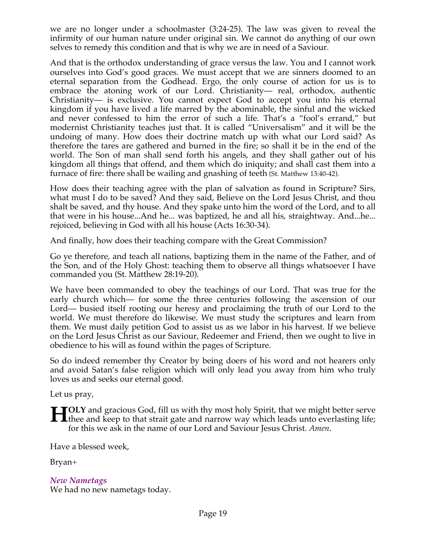we are no longer under a schoolmaster (3:24-25). The law was given to reveal the infirmity of our human nature under original sin. We cannot do anything of our own selves to remedy this condition and that is why we are in need of a Saviour.

And that is the orthodox understanding of grace versus the law. You and I cannot work ourselves into God's good graces. We must accept that we are sinners doomed to an eternal separation from the Godhead. Ergo, the only course of action for us is to embrace the atoning work of our Lord. Christianity— real, orthodox, authentic Christianity— is exclusive. You cannot expect God to accept you into his eternal kingdom if you have lived a life marred by the abominable, the sinful and the wicked and never confessed to him the error of such a life. That's a "fool's errand," but modernist Christianity teaches just that. It is called "Universalism" and it will be the undoing of many. How does their doctrine match up with what our Lord said? As therefore the tares are gathered and burned in the fire; so shall it be in the end of the world. The Son of man shall send forth his angels, and they shall gather out of his kingdom all things that offend, and them which do iniquity; and shall cast them into a furnace of fire: there shall be wailing and gnashing of teeth (St. Matthew 13:40-42).

How does their teaching agree with the plan of salvation as found in Scripture? Sirs, what must I do to be saved? And they said, Believe on the Lord Jesus Christ, and thou shalt be saved, and thy house. And they spake unto him the word of the Lord, and to all that were in his house...And he... was baptized, he and all his, straightway. And...he... rejoiced, believing in God with all his house (Acts 16:30-34).

And finally, how does their teaching compare with the Great Commission?

Go ye therefore, and teach all nations, baptizing them in the name of the Father, and of the Son, and of the Holy Ghost: teaching them to observe all things whatsoever I have commanded you (St. Matthew 28:19-20).

We have been commanded to obey the teachings of our Lord. That was true for the early church which— for some the three centuries following the ascension of our Lord— busied itself rooting our heresy and proclaiming the truth of our Lord to the world. We must therefore do likewise. We must study the scriptures and learn from them. We must daily petition God to assist us as we labor in his harvest. If we believe on the Lord Jesus Christ as our Saviour, Redeemer and Friend, then we ought to live in obedience to his will as found within the pages of Scripture.

So do indeed remember thy Creator by being doers of his word and not hearers only and avoid Satan's false religion which will only lead you away from him who truly loves us and seeks our eternal good.

Let us pray,

**OLY** and gracious God, fill us with thy most holy Spirit, that we might better serve **the and straits and strait gate and narrow way which leads unto everlasting life;**  $\frac{1}{2}$  the and keep to that strait gate and narrow way which leads unto everlasting life; for this we ask in the name of our Lord and Saviour Jesus Christ. *Amen*.

Have a blessed week,

Bryan+

*New Nametags* We had no new nametags today.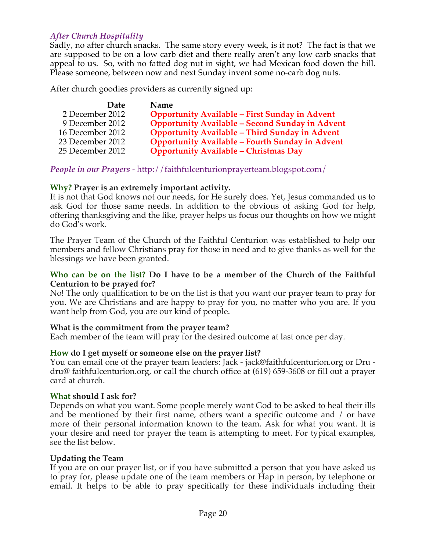# *After Church Hospitality*

Sadly, no after church snacks. The same story every week, is it not? The fact is that we are supposed to be on a low carb diet and there really aren't any low carb snacks that appeal to us. So, with no fatted dog nut in sight, we had Mexican food down the hill. Please someone, between now and next Sunday invent some no-carb dog nuts.

After church goodies providers as currently signed up:

| <b>Date</b>      | <b>Name</b>                                            |
|------------------|--------------------------------------------------------|
| 2 December 2012  | <b>Opportunity Available - First Sunday in Advent</b>  |
| 9 December 2012  | <b>Opportunity Available - Second Sunday in Advent</b> |
| 16 December 2012 | <b>Opportunity Available - Third Sunday in Advent</b>  |
| 23 December 2012 | <b>Opportunity Available - Fourth Sunday in Advent</b> |
| 25 December 2012 | <b>Opportunity Available - Christmas Day</b>           |

*People in our Prayers* - http://faithfulcenturionprayerteam.blogspot.com/

## **Why? Prayer is an extremely important activity.**

It is not that God knows not our needs, for He surely does. Yet, Jesus commanded us to ask God for those same needs. In addition to the obvious of asking God for help, offering thanksgiving and the like, prayer helps us focus our thoughts on how we might do God's work.

The Prayer Team of the Church of the Faithful Centurion was established to help our members and fellow Christians pray for those in need and to give thanks as well for the blessings we have been granted.

#### **Who can be on the list? Do I have to be a member of the Church of the Faithful Centurion to be prayed for?**

No! The only qualification to be on the list is that you want our prayer team to pray for you. We are Christians and are happy to pray for you, no matter who you are. If you want help from God, you are our kind of people.

#### **What is the commitment from the prayer team?**

Each member of the team will pray for the desired outcome at last once per day.

# **How do I get myself or someone else on the prayer list?**

You can email one of the prayer team leaders: Jack - jack@faithfulcenturion.org or Dru dru@ faithfulcenturion.org, or call the church office at (619) 659-3608 or fill out a prayer card at church.

#### **What should I ask for?**

Depends on what you want. Some people merely want God to be asked to heal their ills and be mentioned by their first name, others want a specific outcome and / or have more of their personal information known to the team. Ask for what you want. It is your desire and need for prayer the team is attempting to meet. For typical examples, see the list below.

#### **Updating the Team**

If you are on our prayer list, or if you have submitted a person that you have asked us to pray for, please update one of the team members or Hap in person, by telephone or email. It helps to be able to pray specifically for these individuals including their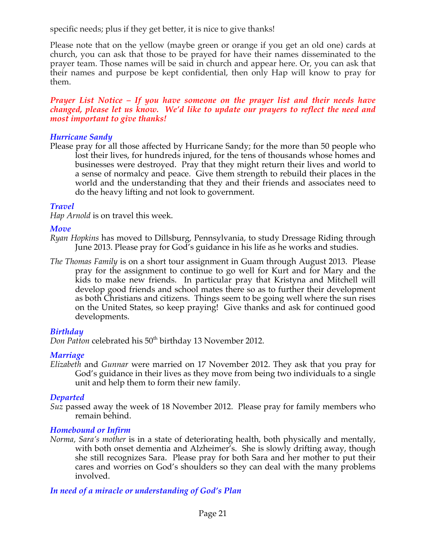specific needs; plus if they get better, it is nice to give thanks!

Please note that on the yellow (maybe green or orange if you get an old one) cards at church, you can ask that those to be prayed for have their names disseminated to the prayer team. Those names will be said in church and appear here. Or, you can ask that their names and purpose be kept confidential, then only Hap will know to pray for them.

*Prayer List Notice – If you have someone on the prayer list and their needs have changed, please let us know. We'd like to update our prayers to reflect the need and most important to give thanks!*

### *Hurricane Sandy*

Please pray for all those affected by Hurricane Sandy; for the more than 50 people who lost their lives, for hundreds injured, for the tens of thousands whose homes and businesses were destroyed. Pray that they might return their lives and world to a sense of normalcy and peace. Give them strength to rebuild their places in the world and the understanding that they and their friends and associates need to do the heavy lifting and not look to government.

# *Travel*

*Hap Arnold* is on travel this week.

# *Move*

- *Ryan Hopkins* has moved to Dillsburg, Pennsylvania, to study Dressage Riding through June 2013. Please pray for God's guidance in his life as he works and studies.
- *The Thomas Family* is on a short tour assignment in Guam through August 2013. Please pray for the assignment to continue to go well for Kurt and for Mary and the kids to make new friends. In particular pray that Kristyna and Mitchell will develop good friends and school mates there so as to further their development as both Christians and citizens. Things seem to be going well where the sun rises on the United States, so keep praying! Give thanks and ask for continued good developments.

# *Birthday*

*Don Patton* celebrated his 50<sup>th</sup> birthday 13 November 2012.

# *Marriage*

*Elizabeth* and *Gunnar* were married on 17 November 2012. They ask that you pray for God's guidance in their lives as they move from being two individuals to a single unit and help them to form their new family.

# *Departed*

*Suz* passed away the week of 18 November 2012. Please pray for family members who remain behind.

# *Homebound or Infirm*

*Norma, Sara's mother* is in a state of deteriorating health, both physically and mentally, with both onset dementia and Alzheimer's. She is slowly drifting away, though she still recognizes Sara. Please pray for both Sara and her mother to put their cares and worries on God's shoulders so they can deal with the many problems involved.

# *In need of a miracle or understanding of God's Plan*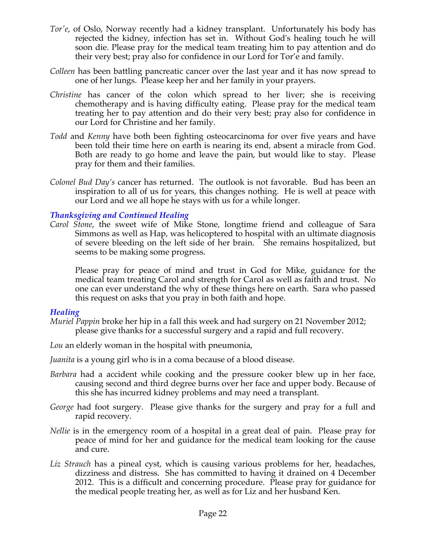- *Tor'e*, of Oslo, Norway recently had a kidney transplant. Unfortunately his body has rejected the kidney, infection has set in. Without God's healing touch he will soon die. Please pray for the medical team treating him to pay attention and do their very best; pray also for confidence in our Lord for Tor'e and family.
- *Colleen* has been battling pancreatic cancer over the last year and it has now spread to one of her lungs. Please keep her and her family in your prayers.
- *Christine* has cancer of the colon which spread to her liver; she is receiving chemotherapy and is having difficulty eating. Please pray for the medical team treating her to pay attention and do their very best; pray also for confidence in our Lord for Christine and her family.
- *Todd* and *Kenny* have both been fighting osteocarcinoma for over five years and have been told their time here on earth is nearing its end, absent a miracle from God. Both are ready to go home and leave the pain, but would like to stay. Please pray for them and their families.
- *Colonel Bud Day's* cancer has returned. The outlook is not favorable. Bud has been an inspiration to all of us for years, this changes nothing. He is well at peace with our Lord and we all hope he stays with us for a while longer.

## *Thanksgiving and Continued Healing*

*Carol Stone*, the sweet wife of Mike Stone, longtime friend and colleague of Sara Simmons as well as Hap, was helicoptered to hospital with an ultimate diagnosis of severe bleeding on the left side of her brain. She remains hospitalized, but seems to be making some progress.

Please pray for peace of mind and trust in God for Mike, guidance for the medical team treating Carol and strength for Carol as well as faith and trust. No one can ever understand the why of these things here on earth. Sara who passed this request on asks that you pray in both faith and hope.

#### *Healing*

- *Muriel Pappin* broke her hip in a fall this week and had surgery on 21 November 2012; please give thanks for a successful surgery and a rapid and full recovery.
- *Lou* an elderly woman in the hospital with pneumonia,
- *Juanita* is a young girl who is in a coma because of a blood disease.
- *Barbara* had a accident while cooking and the pressure cooker blew up in her face, causing second and third degree burns over her face and upper body. Because of this she has incurred kidney problems and may need a transplant.
- *George* had foot surgery. Please give thanks for the surgery and pray for a full and rapid recovery.
- *Nellie* is in the emergency room of a hospital in a great deal of pain. Please pray for peace of mind for her and guidance for the medical team looking for the cause and cure.
- *Liz Strauch* has a pineal cyst, which is causing various problems for her, headaches, dizziness and distress. She has committed to having it drained on 4 December 2012. This is a difficult and concerning procedure. Please pray for guidance for the medical people treating her, as well as for Liz and her husband Ken.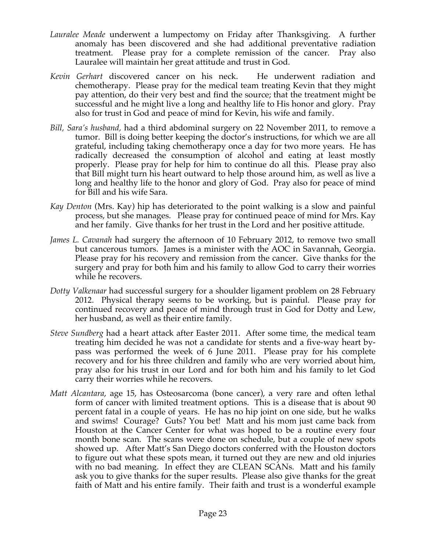- *Lauralee Meade* underwent a lumpectomy on Friday after Thanksgiving. A further anomaly has been discovered and she had additional preventative radiation treatment. Please pray for a complete remission of the cancer. Pray also Lauralee will maintain her great attitude and trust in God.
- *Kevin Gerhart* discovered cancer on his neck. He underwent radiation and chemotherapy. Please pray for the medical team treating Kevin that they might pay attention, do their very best and find the source; that the treatment might be successful and he might live a long and healthy life to His honor and glory. Pray also for trust in God and peace of mind for Kevin, his wife and family.
- *Bill, Sara's husband,* had a third abdominal surgery on 22 November 2011, to remove a tumor. Bill is doing better keeping the doctor's instructions, for which we are all grateful, including taking chemotherapy once a day for two more years. He has radically decreased the consumption of alcohol and eating at least mostly properly. Please pray for help for him to continue do all this. Please pray also that Bill might turn his heart outward to help those around him, as well as live a long and healthy life to the honor and glory of God. Pray also for peace of mind for Bill and his wife Sara.
- *Kay Denton* (Mrs. Kay) hip has deteriorated to the point walking is a slow and painful process, but she manages. Please pray for continued peace of mind for Mrs. Kay and her family. Give thanks for her trust in the Lord and her positive attitude.
- *James L. Cavanah* had surgery the afternoon of 10 February 2012, to remove two small but cancerous tumors. James is a minister with the AOC in Savannah, Georgia. Please pray for his recovery and remission from the cancer. Give thanks for the surgery and pray for both him and his family to allow God to carry their worries while he recovers.
- *Dotty Valkenaar* had successful surgery for a shoulder ligament problem on 28 February 2012. Physical therapy seems to be working, but is painful. Please pray for continued recovery and peace of mind through trust in God for Dotty and Lew, her husband, as well as their entire family.
- *Steve Sundberg* had a heart attack after Easter 2011. After some time, the medical team treating him decided he was not a candidate for stents and a five-way heart bypass was performed the week of 6 June 2011. Please pray for his complete recovery and for his three children and family who are very worried about him, pray also for his trust in our Lord and for both him and his family to let God carry their worries while he recovers.
- *Matt Alcantara*, age 15, has Osteosarcoma (bone cancer), a very rare and often lethal form of cancer with limited treatment options. This is a disease that is about 90 percent fatal in a couple of years. He has no hip joint on one side, but he walks and swims! Courage? Guts? You bet! Matt and his mom just came back from Houston at the Cancer Center for what was hoped to be a routine every four month bone scan. The scans were done on schedule, but a couple of new spots showed up. After Matt's San Diego doctors conferred with the Houston doctors to figure out what these spots mean, it turned out they are new and old injuries with no bad meaning. In effect they are CLEAN SCANs. Matt and his family ask you to give thanks for the super results. Please also give thanks for the great faith of Matt and his entire family. Their faith and trust is a wonderful example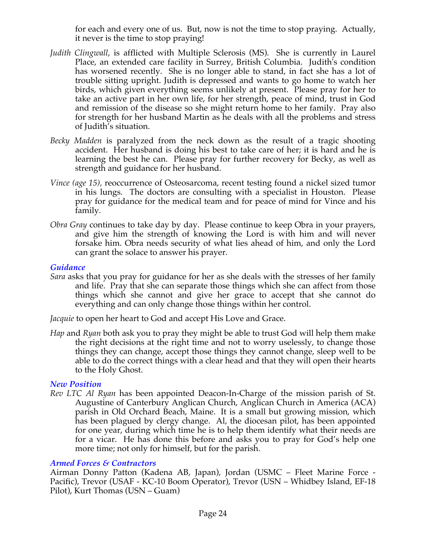for each and every one of us. But, now is not the time to stop praying. Actually, it never is the time to stop praying!

- *Judith Clingwall*, is afflicted with Multiple Sclerosis (MS). She is currently in Laurel Place, an extended care facility in Surrey, British Columbia. Judith's condition has worsened recently. She is no longer able to stand, in fact she has a lot of trouble sitting upright. Judith is depressed and wants to go home to watch her birds, which given everything seems unlikely at present. Please pray for her to take an active part in her own life, for her strength, peace of mind, trust in God and remission of the disease so she might return home to her family. Pray also for strength for her husband Martin as he deals with all the problems and stress of Judith's situation.
- *Becky Madden* is paralyzed from the neck down as the result of a tragic shooting accident. Her husband is doing his best to take care of her; it is hard and he is learning the best he can. Please pray for further recovery for Becky, as well as strength and guidance for her husband.
- *Vince (age 15),* reoccurrence of Osteosarcoma, recent testing found a nickel sized tumor in his lungs. The doctors are consulting with a specialist in Houston. Please pray for guidance for the medical team and for peace of mind for Vince and his family.
- *Obra Gray* continues to take day by day. Please continue to keep Obra in your prayers, and give him the strength of knowing the Lord is with him and will never forsake him. Obra needs security of what lies ahead of him, and only the Lord can grant the solace to answer his prayer.

#### *Guidance*

*Sara* asks that you pray for guidance for her as she deals with the stresses of her family and life. Pray that she can separate those things which she can affect from those things which she cannot and give her grace to accept that she cannot do everything and can only change those things within her control.

*Jacquie* to open her heart to God and accept His Love and Grace.

*Hap* and *Ryan* both ask you to pray they might be able to trust God will help them make the right decisions at the right time and not to worry uselessly, to change those things they can change, accept those things they cannot change, sleep well to be able to do the correct things with a clear head and that they will open their hearts to the Holy Ghost.

#### *New Position*

*Rev LTC Al Ryan* has been appointed Deacon-In-Charge of the mission parish of St. Augustine of Canterbury Anglican Church, Anglican Church in America (ACA) parish in Old Orchard Beach, Maine. It is a small but growing mission, which has been plagued by clergy change. Al, the diocesan pilot, has been appointed for one year, during which time he is to help them identify what their needs are for a vicar. He has done this before and asks you to pray for God's help one more time; not only for himself, but for the parish.

#### *Armed Forces & Contractors*

Airman Donny Patton (Kadena AB, Japan), Jordan (USMC – Fleet Marine Force - Pacific), Trevor (USAF - KC-10 Boom Operator), Trevor (USN – Whidbey Island, EF-18 Pilot), Kurt Thomas (USN – Guam)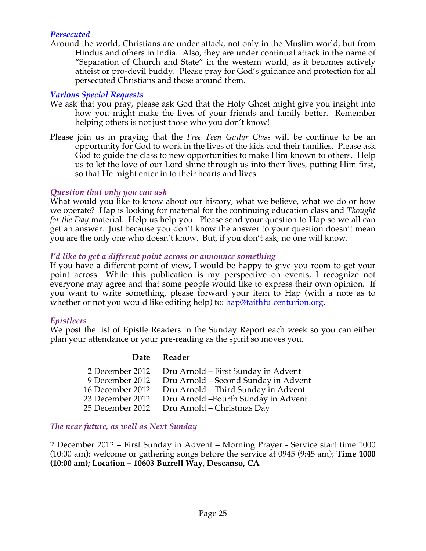# *Persecuted*

Around the world, Christians are under attack, not only in the Muslim world, but from Hindus and others in India. Also, they are under continual attack in the name of "Separation of Church and State" in the western world, as it becomes actively atheist or pro-devil buddy. Please pray for God's guidance and protection for all persecuted Christians and those around them.

### *Various Special Requests*

- We ask that you pray, please ask God that the Holy Ghost might give you insight into how you might make the lives of your friends and family better. Remember helping others is not just those who you don't know!
- Please join us in praying that the *Free Teen Guitar Class* will be continue to be an opportunity for God to work in the lives of the kids and their families. Please ask God to guide the class to new opportunities to make Him known to others. Help us to let the love of our Lord shine through us into their lives, putting Him first, so that He might enter in to their hearts and lives.

## *Question that only you can ask*

What would you like to know about our history, what we believe, what we do or how we operate? Hap is looking for material for the continuing education class and *Thought for the Day* material. Help us help you. Please send your question to Hap so we all can get an answer. Just because you don't know the answer to your question doesn't mean you are the only one who doesn't know. But, if you don't ask, no one will know.

## *I'd like to get a different point across or announce something*

If you have a different point of view, I would be happy to give you room to get your point across. While this publication is my perspective on events, I recognize not everyone may agree and that some people would like to express their own opinion. If you want to write something, please forward your item to Hap (with a note as to whether or not you would like editing help) to: hap@faithfulcenturion.org.

#### *Epistleers*

We post the list of Epistle Readers in the Sunday Report each week so you can either plan your attendance or your pre-reading as the spirit so moves you.

#### **Date Reader**

| 2 December 2012  | Dru Arnold – First Sunday in Advent  |
|------------------|--------------------------------------|
| 9 December 2012  | Dru Arnold - Second Sunday in Advent |
| 16 December 2012 | Dru Arnold - Third Sunday in Advent  |
| 23 December 2012 | Dru Arnold -Fourth Sunday in Advent  |
| 25 December 2012 | Dru Arnold - Christmas Day           |

#### *The near future, as well as Next Sunday*

2 December 2012 – First Sunday in Advent – Morning Prayer - Service start time 1000 (10:00 am); welcome or gathering songs before the service at 0945 (9:45 am); **Time 1000 (10:00 am); Location – 10603 Burrell Way, Descanso, CA**